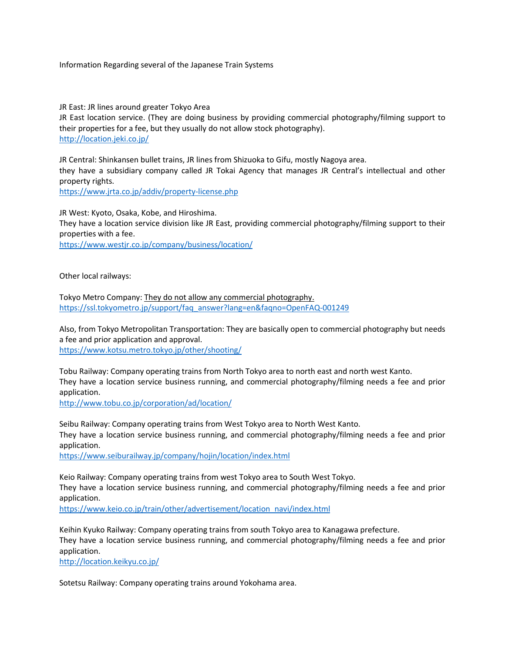Information Regarding several of the Japanese Train Systems

JR East: JR lines around greater Tokyo Area

JR East location service. (They are doing business by providing commercial photography/filming support to their properties for a fee, but they usually do not allow stock photography). <http://location.jeki.co.jp/>

JR Central: Shinkansen bullet trains, JR lines from Shizuoka to Gifu, mostly Nagoya area. they have a subsidiary company called JR Tokai Agency that manages JR Central's intellectual and other property rights.

<https://www.jrta.co.jp/addiv/property-license.php>

JR West: Kyoto, Osaka, Kobe, and Hiroshima. They have a location service division like JR East, providing commercial photography/filming support to their properties with a fee.

<https://www.westjr.co.jp/company/business/location/>

Other local railways:

Tokyo Metro Company: They do not allow any commercial photography. [https://ssl.tokyometro.jp/support/faq\\_answer?lang=en&faqno=OpenFAQ-001249](https://ssl.tokyometro.jp/support/faq_answer?lang=en&faqno=OpenFAQ-001249)

Also, from Tokyo Metropolitan Transportation: They are basically open to commercial photography but needs a fee and prior application and approval. <https://www.kotsu.metro.tokyo.jp/other/shooting/>

Tobu Railway: Company operating trains from North Tokyo area to north east and north west Kanto. They have a location service business running, and commercial photography/filming needs a fee and prior application.

<http://www.tobu.co.jp/corporation/ad/location/>

Seibu Railway: Company operating trains from West Tokyo area to North West Kanto. They have a location service business running, and commercial photography/filming needs a fee and prior application.

<https://www.seiburailway.jp/company/hojin/location/index.html>

Keio Railway: Company operating trains from west Tokyo area to South West Tokyo. They have a location service business running, and commercial photography/filming needs a fee and prior application.

[https://www.keio.co.jp/train/other/advertisement/location\\_navi/index.html](https://www.keio.co.jp/train/other/advertisement/location_navi/index.html)

Keihin Kyuko Railway: Company operating trains from south Tokyo area to Kanagawa prefecture. They have a location service business running, and commercial photography/filming needs a fee and prior application.

<http://location.keikyu.co.jp/>

Sotetsu Railway: Company operating trains around Yokohama area.